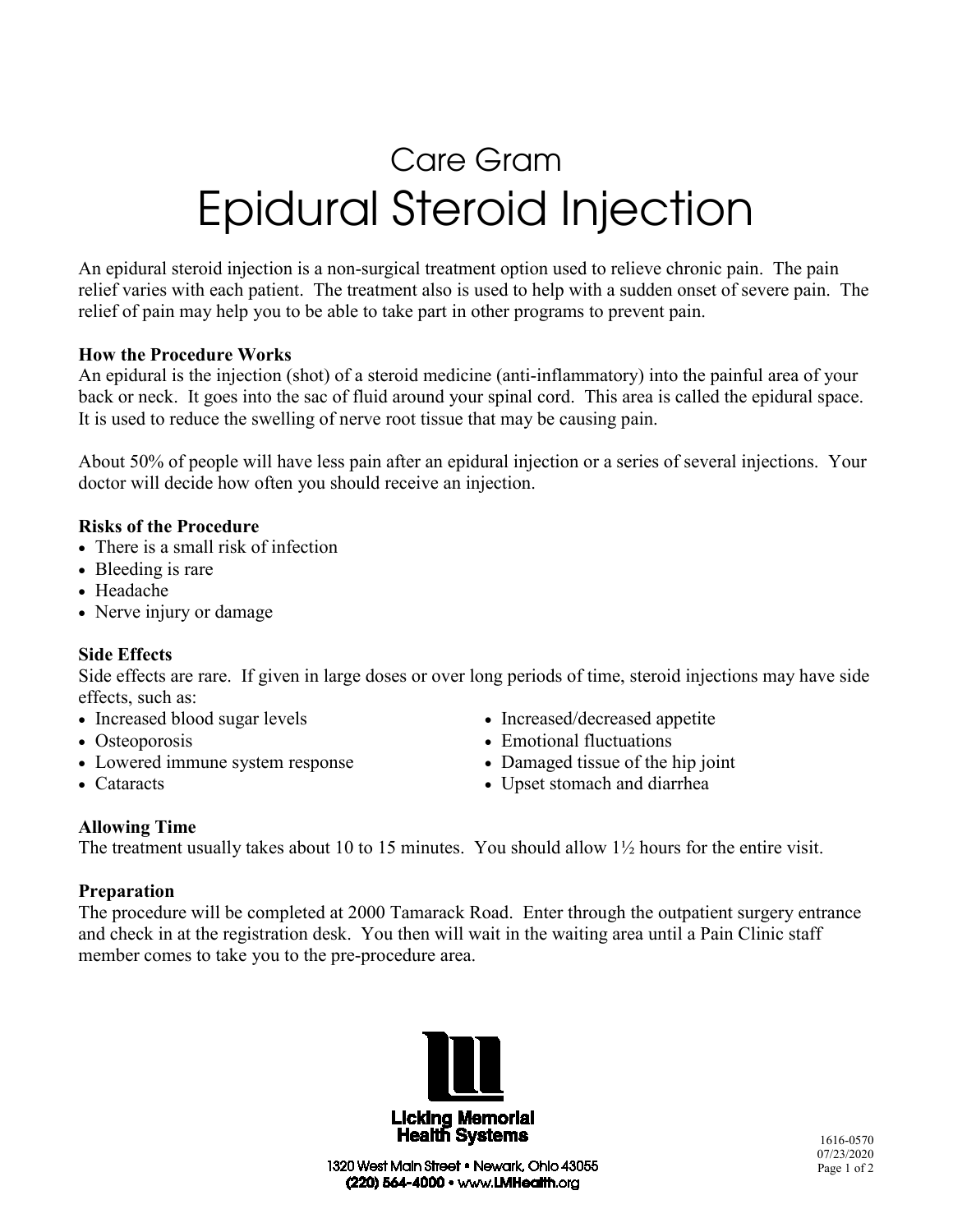# Care Gram Epidural Steroid Injection

An epidural steroid injection is a non-surgical treatment option used to relieve chronic pain. The pain relief varies with each patient. The treatment also is used to help with a sudden onset of severe pain. The relief of pain may help you to be able to take part in other programs to prevent pain.

#### **How the Procedure Works**

An epidural is the injection (shot) of a steroid medicine (anti-inflammatory) into the painful area of your back or neck. It goes into the sac of fluid around your spinal cord. This area is called the epidural space. It is used to reduce the swelling of nerve root tissue that may be causing pain.

About 50% of people will have less pain after an epidural injection or a series of several injections. Your doctor will decide how often you should receive an injection.

# **Risks of the Procedure**

- There is a small risk of infection
- Bleeding is rare
- Headache
- Nerve injury or damage

# **Side Effects**

Side effects are rare. If given in large doses or over long periods of time, steroid injections may have side effects, such as:

- Increased blood sugar levels
- Osteoporosis
- Lowered immune system response
- Cataracts
- Increased/decreased appetite
- Emotional fluctuations
- Damaged tissue of the hip joint
- Upset stomach and diarrhea

# **Allowing Time**

The treatment usually takes about 10 to 15 minutes. You should allow 1½ hours for the entire visit.

# **Preparation**

The procedure will be completed at 2000 Tamarack Road. Enter through the outpatient surgery entrance and check in at the registration desk. You then will wait in the waiting area until a Pain Clinic staff member comes to take you to the pre-procedure area.